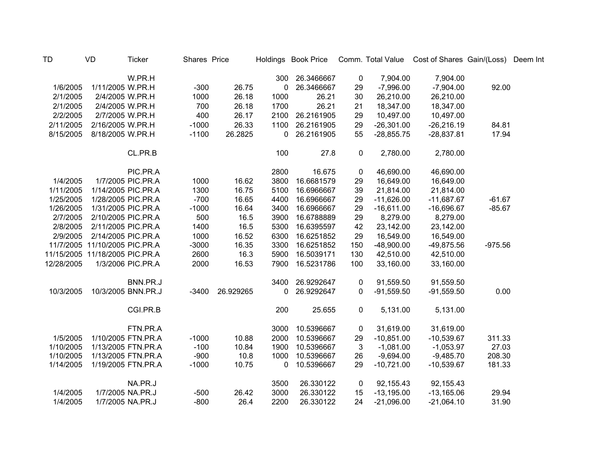| <b>TD</b>  | <b>VD</b>                      | <b>Ticker</b>      | Shares Price |           |      | Holdings Book Price |             |              | Comm. Total Value Cost of Shares Gain/(Loss) |           | Deem Int |
|------------|--------------------------------|--------------------|--------------|-----------|------|---------------------|-------------|--------------|----------------------------------------------|-----------|----------|
|            |                                | W.PR.H             |              |           | 300  | 26.3466667          | 0           | 7,904.00     | 7,904.00                                     |           |          |
| 1/6/2005   | 1/11/2005 W.PR.H               |                    | $-300$       | 26.75     | 0    | 26.3466667          | 29          | $-7,996.00$  | $-7,904.00$                                  | 92.00     |          |
| 2/1/2005   | 2/4/2005 W.PR.H                |                    | 1000         | 26.18     | 1000 | 26.21               | 30          | 26,210.00    | 26,210.00                                    |           |          |
| 2/1/2005   | 2/4/2005 W.PR.H                |                    | 700          | 26.18     | 1700 | 26.21               | 21          | 18,347.00    | 18,347.00                                    |           |          |
| 2/2/2005   | 2/7/2005 W.PR.H                |                    | 400          | 26.17     | 2100 | 26.2161905          | 29          | 10,497.00    | 10,497.00                                    |           |          |
| 2/11/2005  | 2/16/2005 W.PR.H               |                    | $-1000$      | 26.33     | 1100 | 26.2161905          | 29          | $-26,301.00$ | $-26,216.19$                                 | 84.81     |          |
| 8/15/2005  | 8/18/2005 W.PR.H               |                    | $-1100$      | 26.2825   | 0    | 26.2161905          | 55          | $-28,855.75$ | $-28,837.81$                                 | 17.94     |          |
|            |                                | CL.PR.B            |              |           | 100  | 27.8                | 0           | 2,780.00     | 2,780.00                                     |           |          |
|            |                                | PIC.PR.A           |              |           | 2800 | 16.675              | 0           | 46,690.00    | 46,690.00                                    |           |          |
| 1/4/2005   |                                | 1/7/2005 PIC.PR.A  | 1000         | 16.62     | 3800 | 16.6681579          | 29          | 16,649.00    | 16,649.00                                    |           |          |
| 1/11/2005  | 1/14/2005 PIC.PR.A             |                    | 1300         | 16.75     | 5100 | 16.6966667          | 39          | 21,814.00    | 21,814.00                                    |           |          |
| 1/25/2005  | 1/28/2005 PIC.PR.A             |                    | $-700$       | 16.65     | 4400 | 16.6966667          | 29          | $-11,626.00$ | $-11,687.67$                                 | $-61.67$  |          |
| 1/26/2005  | 1/31/2005 PIC.PR.A             |                    | $-1000$      | 16.64     | 3400 | 16.6966667          | 29          | $-16,611.00$ | $-16,696.67$                                 | $-85.67$  |          |
| 2/7/2005   | 2/10/2005 PIC.PR.A             |                    | 500          | 16.5      | 3900 | 16.6788889          | 29          | 8,279.00     | 8,279.00                                     |           |          |
| 2/8/2005   | 2/11/2005 PIC.PR.A             |                    | 1400         | 16.5      | 5300 | 16.6395597          | 42          | 23,142.00    | 23,142.00                                    |           |          |
| 2/9/2005   | 2/14/2005 PIC.PR.A             |                    | 1000         | 16.52     | 6300 | 16.6251852          | 29          | 16,549.00    | 16,549.00                                    |           |          |
| 11/7/2005  | 11/10/2005 PIC.PR.A            |                    | $-3000$      | 16.35     | 3300 | 16.6251852          | 150         | $-48,900.00$ | -49,875.56                                   | $-975.56$ |          |
|            | 11/15/2005 11/18/2005 PIC.PR.A |                    | 2600         | 16.3      | 5900 | 16.5039171          | 130         | 42,510.00    | 42,510.00                                    |           |          |
| 12/28/2005 |                                | 1/3/2006 PIC.PR.A  | 2000         | 16.53     | 7900 | 16.5231786          | 100         | 33,160.00    | 33,160.00                                    |           |          |
|            |                                | BNN.PR.J           |              |           | 3400 | 26.9292647          | 0           | 91,559.50    | 91,559.50                                    |           |          |
| 10/3/2005  |                                | 10/3/2005 BNN.PR.J | $-3400$      | 26.929265 | 0    | 26.9292647          | $\Omega$    | $-91,559.50$ | $-91,559.50$                                 | 0.00      |          |
|            |                                | CGI.PR.B           |              |           | 200  | 25.655              | $\mathbf 0$ | 5,131.00     | 5,131.00                                     |           |          |
|            |                                | FTN.PR.A           |              |           | 3000 | 10.5396667          | 0           | 31,619.00    | 31,619.00                                    |           |          |
| 1/5/2005   |                                | 1/10/2005 FTN.PR.A | $-1000$      | 10.88     | 2000 | 10.5396667          | 29          | $-10,851.00$ | $-10,539.67$                                 | 311.33    |          |
| 1/10/2005  |                                | 1/13/2005 FTN.PR.A | $-100$       | 10.84     | 1900 | 10.5396667          | 3           | $-1,081.00$  | $-1,053.97$                                  | 27.03     |          |
| 1/10/2005  |                                | 1/13/2005 FTN.PR.A | $-900$       | 10.8      | 1000 | 10.5396667          | 26          | $-9,694.00$  | $-9,485.70$                                  | 208.30    |          |
| 1/14/2005  |                                | 1/19/2005 FTN.PR.A | $-1000$      | 10.75     | 0    | 10.5396667          | 29          | $-10,721.00$ | $-10,539.67$                                 | 181.33    |          |
|            |                                | NA.PR.J            |              |           | 3500 | 26.330122           | 0           | 92,155.43    | 92,155.43                                    |           |          |
| 1/4/2005   |                                | 1/7/2005 NA.PR.J   | $-500$       | 26.42     | 3000 | 26.330122           | 15          | $-13,195.00$ | $-13,165.06$                                 | 29.94     |          |
| 1/4/2005   |                                | 1/7/2005 NA.PR.J   | $-800$       | 26.4      | 2200 | 26.330122           | 24          | $-21,096.00$ | $-21,064.10$                                 | 31.90     |          |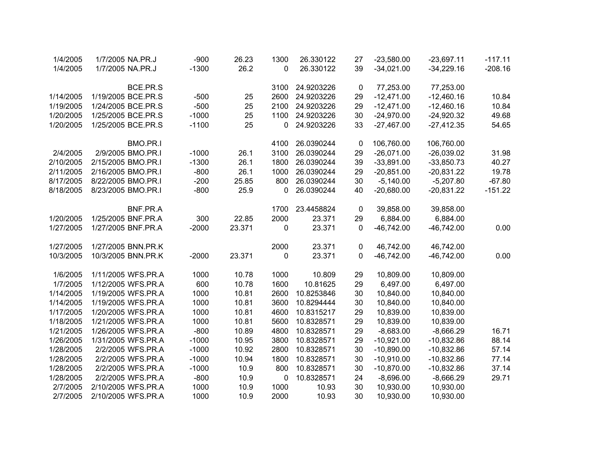| 1/4/2005  | 1/7/2005 NA.PR.J   | $-900$  | 26.23  | 1300 | 26.330122  | 27        | $-23,580.00$ | $-23,697.11$ | $-117.11$ |
|-----------|--------------------|---------|--------|------|------------|-----------|--------------|--------------|-----------|
| 1/4/2005  | 1/7/2005 NA.PR.J   | $-1300$ | 26.2   | 0    | 26.330122  | 39        | $-34,021.00$ | $-34,229.16$ | $-208.16$ |
|           |                    |         |        |      |            |           |              |              |           |
|           | BCE.PR.S           |         |        | 3100 | 24.9203226 | 0         | 77,253.00    | 77,253.00    |           |
| 1/14/2005 | 1/19/2005 BCE.PR.S | $-500$  | 25     | 2600 | 24.9203226 | 29        | $-12,471.00$ | $-12,460.16$ | 10.84     |
| 1/19/2005 | 1/24/2005 BCE.PR.S | $-500$  | 25     | 2100 | 24.9203226 | 29        | $-12,471.00$ | $-12,460.16$ | 10.84     |
| 1/20/2005 | 1/25/2005 BCE.PR.S | $-1000$ | 25     | 1100 | 24.9203226 | 30        | $-24,970.00$ | $-24,920.32$ | 49.68     |
| 1/20/2005 | 1/25/2005 BCE.PR.S | $-1100$ | 25     | 0    | 24.9203226 | 33        | $-27,467.00$ | $-27,412.35$ | 54.65     |
|           | BMO.PR.I           |         |        | 4100 | 26.0390244 | 0         | 106,760.00   | 106,760.00   |           |
| 2/4/2005  | 2/9/2005 BMO.PR.I  | $-1000$ | 26.1   | 3100 | 26.0390244 | 29        | $-26,071.00$ | $-26,039.02$ | 31.98     |
| 2/10/2005 | 2/15/2005 BMO.PR.I | $-1300$ | 26.1   | 1800 | 26.0390244 | 39        | $-33,891.00$ | $-33,850.73$ | 40.27     |
| 2/11/2005 | 2/16/2005 BMO.PR.I | $-800$  | 26.1   | 1000 | 26.0390244 | 29        | $-20,851.00$ | $-20,831.22$ | 19.78     |
| 8/17/2005 | 8/22/2005 BMO.PR.I | $-200$  | 25.85  | 800  | 26.0390244 | 30        | $-5,140.00$  | $-5,207.80$  | $-67.80$  |
| 8/18/2005 | 8/23/2005 BMO.PR.I | $-800$  | 25.9   | 0    | 26.0390244 | 40        | $-20,680.00$ | $-20,831.22$ | $-151.22$ |
|           |                    |         |        |      |            |           |              |              |           |
|           | BNF.PR.A           |         |        | 1700 | 23.4458824 | 0         | 39,858.00    | 39,858.00    |           |
| 1/20/2005 | 1/25/2005 BNF.PR.A | 300     | 22.85  | 2000 | 23.371     | 29        | 6,884.00     | 6,884.00     |           |
| 1/27/2005 | 1/27/2005 BNF.PR.A | $-2000$ | 23.371 | 0    | 23.371     | $\pmb{0}$ | $-46,742.00$ | $-46,742.00$ | 0.00      |
| 1/27/2005 | 1/27/2005 BNN.PR.K |         |        | 2000 | 23.371     | 0         | 46,742.00    | 46,742.00    |           |
| 10/3/2005 | 10/3/2005 BNN.PR.K | $-2000$ | 23.371 | 0    | 23.371     | 0         | $-46,742.00$ | $-46,742.00$ | 0.00      |
|           |                    |         |        |      |            |           |              |              |           |
| 1/6/2005  | 1/11/2005 WFS.PR.A | 1000    | 10.78  | 1000 | 10.809     | 29        | 10,809.00    | 10,809.00    |           |
| 1/7/2005  | 1/12/2005 WFS.PR.A | 600     | 10.78  | 1600 | 10.81625   | 29        | 6,497.00     | 6,497.00     |           |
| 1/14/2005 | 1/19/2005 WFS.PR.A | 1000    | 10.81  | 2600 | 10.8253846 | 30        | 10,840.00    | 10,840.00    |           |
| 1/14/2005 | 1/19/2005 WFS.PR.A | 1000    | 10.81  | 3600 | 10.8294444 | 30        | 10,840.00    | 10,840.00    |           |
| 1/17/2005 | 1/20/2005 WFS.PR.A | 1000    | 10.81  | 4600 | 10.8315217 | 29        | 10,839.00    | 10,839.00    |           |
| 1/18/2005 | 1/21/2005 WFS.PR.A | 1000    | 10.81  | 5600 | 10.8328571 | 29        | 10,839.00    | 10,839.00    |           |
| 1/21/2005 | 1/26/2005 WFS.PR.A | $-800$  | 10.89  | 4800 | 10.8328571 | 29        | $-8,683.00$  | $-8,666.29$  | 16.71     |
| 1/26/2005 | 1/31/2005 WFS.PR.A | $-1000$ | 10.95  | 3800 | 10.8328571 | 29        | $-10,921.00$ | $-10,832.86$ | 88.14     |
| 1/28/2005 | 2/2/2005 WFS.PR.A  | $-1000$ | 10.92  | 2800 | 10.8328571 | 30        | $-10,890.00$ | $-10,832.86$ | 57.14     |
| 1/28/2005 | 2/2/2005 WFS.PR.A  | $-1000$ | 10.94  | 1800 | 10.8328571 | 30        | $-10,910.00$ | $-10,832.86$ | 77.14     |
| 1/28/2005 | 2/2/2005 WFS.PR.A  | $-1000$ | 10.9   | 800  | 10.8328571 | 30        | $-10,870.00$ | $-10,832.86$ | 37.14     |
| 1/28/2005 | 2/2/2005 WFS.PR.A  | $-800$  | 10.9   | 0    | 10.8328571 | 24        | $-8,696.00$  | $-8,666.29$  | 29.71     |
| 2/7/2005  | 2/10/2005 WFS.PR.A | 1000    | 10.9   | 1000 | 10.93      | 30        | 10,930.00    | 10,930.00    |           |
| 2/7/2005  | 2/10/2005 WFS.PR.A | 1000    | 10.9   | 2000 | 10.93      | 30        | 10,930.00    | 10,930.00    |           |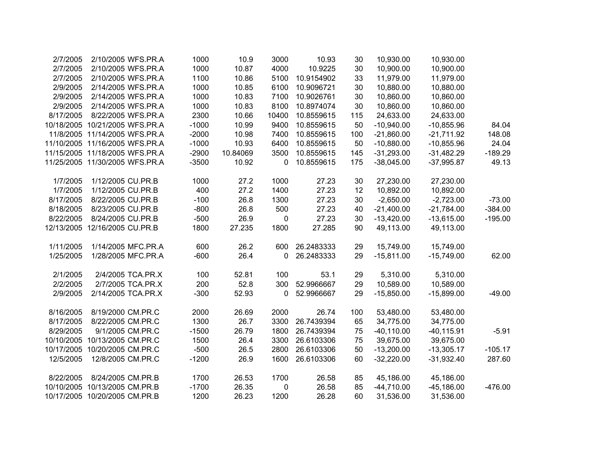|           | 10,930.00     | 10,930.00    | 30  | 10.93      | 3000  | 10.9     | 1000    | 2/10/2005 WFS.PR.A |                                | 2/7/2005   |
|-----------|---------------|--------------|-----|------------|-------|----------|---------|--------------------|--------------------------------|------------|
|           | 10,900.00     | 10,900.00    | 30  | 10.9225    | 4000  | 10.87    | 1000    | 2/10/2005 WFS.PR.A |                                | 2/7/2005   |
|           | 11,979.00     | 11,979.00    | 33  | 10.9154902 | 5100  | 10.86    | 1100    |                    | 2/10/2005 WFS.PR.A             | 2/7/2005   |
|           | 10,880.00     | 10,880.00    | 30  | 10.9096721 | 6100  | 10.85    | 1000    |                    | 2/14/2005 WFS.PR.A             | 2/9/2005   |
|           | 10,860.00     | 10,860.00    | 30  | 10.9026761 | 7100  | 10.83    | 1000    | 2/14/2005 WFS.PR.A |                                | 2/9/2005   |
|           | 10,860.00     | 10,860.00    | 30  | 10.8974074 | 8100  | 10.83    | 1000    | 2/14/2005 WFS.PR.A |                                | 2/9/2005   |
|           | 24,633.00     | 24,633.00    | 115 | 10.8559615 | 10400 | 10.66    | 2300    |                    | 8/22/2005 WFS.PR.A             | 8/17/2005  |
| 84.04     | $-10,855.96$  | $-10,940.00$ | 50  | 10.8559615 | 9400  | 10.99    | $-1000$ |                    | 10/18/2005 10/21/2005 WFS.PR.A |            |
| 148.08    | $-21,711.92$  | $-21,860.00$ | 100 | 10.8559615 | 7400  | 10.98    | $-2000$ |                    | 11/8/2005 11/14/2005 WFS.PR.A  |            |
| 24.04     | $-10,855.96$  | $-10,880.00$ | 50  | 10.8559615 | 6400  | 10.93    | $-1000$ |                    | 11/10/2005 11/16/2005 WFS.PR.A |            |
| $-189.29$ | $-31,482.29$  | $-31,293.00$ | 145 | 10.8559615 | 3500  | 10.84069 | $-2900$ |                    | 11/15/2005 11/18/2005 WFS.PR.A |            |
| 49.13     | $-37,995.87$  | $-38,045.00$ | 175 | 10.8559615 | 0     | 10.92    | $-3500$ |                    | 11/25/2005 11/30/2005 WFS.PR.A |            |
|           | 27,230.00     | 27,230.00    | 30  | 27.23      | 1000  | 27.2     | 1000    |                    | 1/12/2005 CU.PR.B              | 1/7/2005   |
|           | 10,892.00     | 10,892.00    | 12  | 27.23      | 1400  | 27.2     | 400     |                    | 1/12/2005 CU.PR.B              | 1/7/2005   |
| $-73.00$  | $-2,723.00$   | $-2,650.00$  | 30  | 27.23      | 1300  | 26.8     | $-100$  |                    | 8/22/2005 CU.PR.B              | 8/17/2005  |
| $-384.00$ | $-21,784.00$  | $-21,400.00$ | 40  | 27.23      | 500   | 26.8     | $-800$  |                    | 8/23/2005 CU.PR.B              | 8/18/2005  |
| $-195.00$ | $-13,615.00$  | $-13,420.00$ | 30  | 27.23      | 0     | 26.9     | $-500$  |                    | 8/24/2005 CU.PR.B              | 8/22/2005  |
|           | 49,113.00     | 49,113.00    | 90  | 27.285     | 1800  | 27.235   | 1800    |                    | 12/13/2005 12/16/2005 CU.PR.B  |            |
|           | 15,749.00     | 15,749.00    | 29  | 26.2483333 | 600   | 26.2     | 600     | 1/14/2005 MFC.PR.A |                                | 1/11/2005  |
| 62.00     | $-15,749.00$  | $-15,811.00$ | 29  | 26.2483333 | 0     | 26.4     | $-600$  | 1/28/2005 MFC.PR.A |                                | 1/25/2005  |
|           | 5,310.00      | 5,310.00     | 29  | 53.1       | 100   | 52.81    | 100     | 2/4/2005 TCA.PR.X  |                                | 2/1/2005   |
|           | 10,589.00     | 10,589.00    | 29  | 52.9966667 | 300   | 52.8     | 200     | 2/7/2005 TCA.PR.X  |                                | 2/2/2005   |
| $-49.00$  | $-15,899.00$  | $-15,850.00$ | 29  | 52.9966667 | 0     | 52.93    | $-300$  |                    | 2/14/2005 TCA.PR.X             | 2/9/2005   |
|           | 53,480.00     | 53,480.00    | 100 | 26.74      | 2000  | 26.69    | 2000    |                    | 8/19/2000 CM.PR.C              | 8/16/2005  |
|           | 34,775.00     | 34,775.00    | 65  | 26.7439394 | 3300  | 26.7     | 1300    |                    | 8/22/2005 CM.PR.C              | 8/17/2005  |
| $-5.91$   | $-40, 115.91$ | $-40,110.00$ | 75  | 26.7439394 | 1800  | 26.79    | $-1500$ | 9/1/2005 CM.PR.C   |                                | 8/29/2005  |
|           | 39,675.00     | 39,675.00    | 75  | 26.6103306 | 3300  | 26.4     | 1500    |                    | 10/13/2005 CM.PR.C             | 10/10/2005 |
| $-105.17$ | $-13,305.17$  | $-13,200.00$ | 50  | 26.6103306 | 2800  | 26.5     | $-500$  |                    | 10/20/2005 CM.PR.C             | 10/17/2005 |
| 287.60    | $-31,932.40$  | $-32,220.00$ | 60  | 26.6103306 | 1600  | 26.9     | $-1200$ |                    | 12/8/2005 CM.PR.C              | 12/5/2005  |
|           | 45,186.00     | 45,186.00    | 85  | 26.58      | 1700  | 26.53    | 1700    |                    | 8/24/2005 CM.PR.B              | 8/22/2005  |
| $-476.00$ | $-45,186.00$  | $-44,710.00$ | 85  | 26.58      | 0     | 26.35    | $-1700$ |                    | 10/13/2005 CM.PR.B             | 10/10/2005 |
|           | 31,536.00     | 31,536.00    | 60  | 26.28      | 1200  | 26.23    | 1200    |                    | 10/17/2005 10/20/2005 CM.PR.B  |            |
|           |               |              |     |            |       |          |         |                    |                                |            |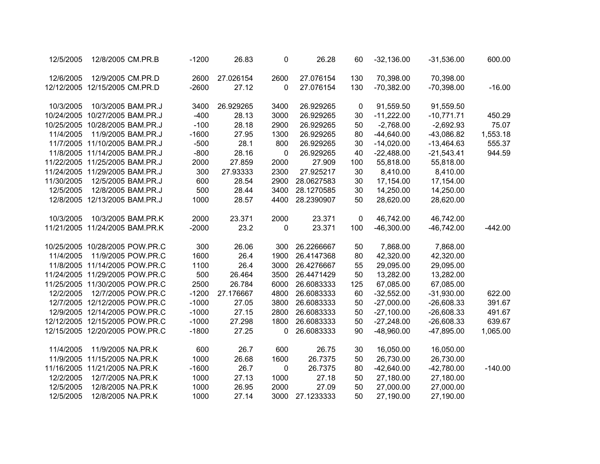| 12/5/2005  | 12/8/2005 CM.PR.B              | $-1200$ | 26.83     | 0           | 26.28      | 60  | $-32,136.00$ | $-31,536.00$ | 600.00    |
|------------|--------------------------------|---------|-----------|-------------|------------|-----|--------------|--------------|-----------|
| 12/6/2005  | 12/9/2005 CM.PR.D              | 2600    | 27.026154 | 2600        | 27.076154  | 130 | 70,398.00    | 70,398.00    |           |
|            | 12/12/2005 12/15/2005 CM.PR.D  | $-2600$ | 27.12     | 0           | 27.076154  | 130 | $-70,382.00$ | $-70,398.00$ | $-16.00$  |
| 10/3/2005  | 10/3/2005 BAM.PR.J             | 3400    | 26.929265 | 3400        | 26.929265  | 0   | 91,559.50    | 91,559.50    |           |
|            | 10/24/2005 10/27/2005 BAM.PR.J | $-400$  | 28.13     | 3000        | 26.929265  | 30  | $-11,222.00$ | $-10,771.71$ | 450.29    |
|            | 10/25/2005 10/28/2005 BAM.PR.J | $-100$  | 28.18     | 2900        | 26.929265  | 50  | $-2,768.00$  | $-2,692.93$  | 75.07     |
| 11/4/2005  | 11/9/2005 BAM.PR.J             | $-1600$ | 27.95     | 1300        | 26.929265  | 80  | $-44,640.00$ | $-43,086.82$ | 1,553.18  |
|            | 11/7/2005 11/10/2005 BAM.PR.J  | $-500$  | 28.1      | 800         | 26.929265  | 30  | $-14,020.00$ | $-13,464.63$ | 555.37    |
|            | 11/8/2005 11/14/2005 BAM.PR.J  | $-800$  | 28.16     | $\mathbf 0$ | 26.929265  | 40  | $-22,488.00$ | $-21,543.41$ | 944.59    |
|            | 11/22/2005 11/25/2005 BAM.PR.J | 2000    | 27.859    | 2000        | 27.909     | 100 | 55,818.00    | 55,818.00    |           |
|            | 11/24/2005 11/29/2005 BAM.PR.J | 300     | 27.93333  | 2300        | 27.925217  | 30  | 8,410.00     | 8,410.00     |           |
| 11/30/2005 | 12/5/2005 BAM.PR.J             | 600     | 28.54     | 2900        | 28.0627583 | 30  | 17,154.00    | 17,154.00    |           |
| 12/5/2005  | 12/8/2005 BAM.PR.J             | 500     | 28.44     | 3400        | 28.1270585 | 30  | 14,250.00    | 14,250.00    |           |
|            | 12/8/2005 12/13/2005 BAM.PR.J  | 1000    | 28.57     | 4400        | 28.2390907 | 50  | 28,620.00    | 28,620.00    |           |
| 10/3/2005  | 10/3/2005 BAM.PR.K             | 2000    | 23.371    | 2000        | 23.371     | 0   | 46,742.00    | 46,742.00    |           |
|            | 11/21/2005 11/24/2005 BAM.PR.K | $-2000$ | 23.2      | 0           | 23.371     | 100 | $-46,300.00$ | $-46,742.00$ | $-442.00$ |
|            | 10/25/2005 10/28/2005 POW.PR.C | 300     | 26.06     | 300         | 26.2266667 | 50  | 7,868.00     | 7,868.00     |           |
| 11/4/2005  | 11/9/2005 POW.PR.C             | 1600    | 26.4      | 1900        | 26.4147368 | 80  | 42,320.00    | 42,320.00    |           |
|            | 11/8/2005 11/14/2005 POW.PR.C  | 1100    | 26.4      | 3000        | 26.4276667 | 55  | 29,095.00    | 29,095.00    |           |
|            | 11/24/2005 11/29/2005 POW.PR.C | 500     | 26.464    | 3500        | 26.4471429 | 50  | 13,282.00    | 13,282.00    |           |
|            | 11/25/2005 11/30/2005 POW.PR.C | 2500    | 26.784    | 6000        | 26.6083333 | 125 | 67,085.00    | 67,085.00    |           |
| 12/2/2005  | 12/7/2005 POW.PR.C             | $-1200$ | 27.176667 | 4800        | 26.6083333 | 60  | $-32,552.00$ | $-31,930.00$ | 622.00    |
|            | 12/7/2005 12/12/2005 POW.PR.C  | $-1000$ | 27.05     | 3800        | 26.6083333 | 50  | $-27,000.00$ | $-26,608.33$ | 391.67    |
|            | 12/9/2005 12/14/2005 POW.PR.C  | $-1000$ | 27.15     | 2800        | 26.6083333 | 50  | $-27,100.00$ | $-26,608.33$ | 491.67    |
|            | 12/12/2005 12/15/2005 POW.PR.C | $-1000$ | 27.298    | 1800        | 26.6083333 | 50  | $-27,248.00$ | $-26,608.33$ | 639.67    |
|            | 12/15/2005 12/20/2005 POW.PR.C | $-1800$ | 27.25     | 0           | 26.6083333 | 90  | $-48,960.00$ | $-47,895.00$ | 1,065.00  |
| 11/4/2005  | 11/9/2005 NA.PR.K              | 600     | 26.7      | 600         | 26.75      | 30  | 16,050.00    | 16,050.00    |           |
|            | 11/9/2005 11/15/2005 NA.PR.K   | 1000    | 26.68     | 1600        | 26.7375    | 50  | 26,730.00    | 26,730.00    |           |
|            | 11/16/2005 11/21/2005 NA.PR.K  | $-1600$ | 26.7      | 0           | 26.7375    | 80  | $-42,640.00$ | $-42,780.00$ | $-140.00$ |
| 12/2/2005  | 12/7/2005 NA.PR.K              | 1000    | 27.13     | 1000        | 27.18      | 50  | 27,180.00    | 27,180.00    |           |
| 12/5/2005  | 12/8/2005 NA.PR.K              | 1000    | 26.95     | 2000        | 27.09      | 50  | 27,000.00    | 27,000.00    |           |
| 12/5/2005  | 12/8/2005 NA.PR.K              | 1000    | 27.14     | 3000        | 27.1233333 | 50  | 27,190.00    | 27,190.00    |           |